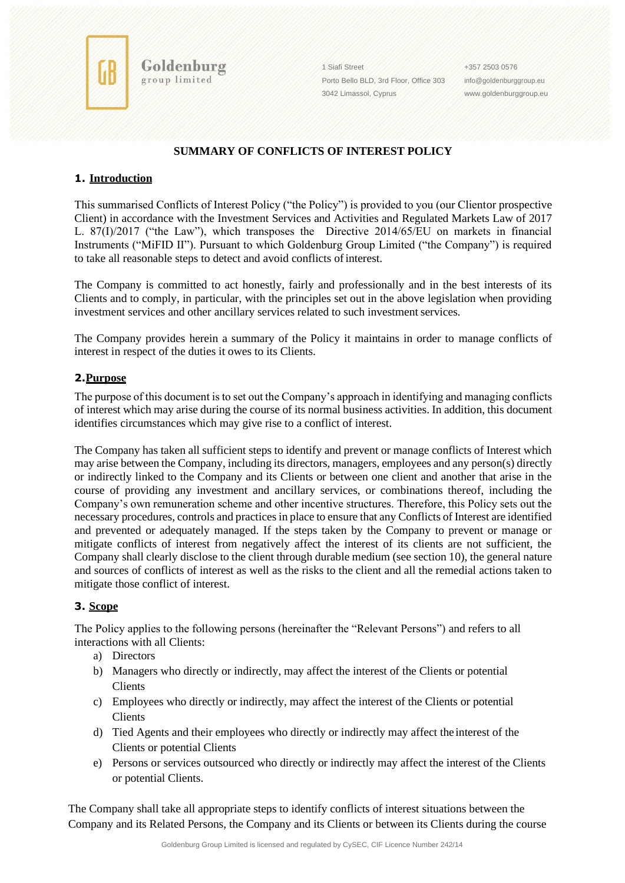

Goldenburg group limited

1 Siafi Street Porto Bello BLD, 3rd Floor, Office 303 3042 Limassol, Cyprus

+357 2503 0576 [info@goldenburggroup.eu](mailto:info@goldenburggroup.eu) [www.goldenburggroup.eu](http://www.goldenburggroup.eu/)

# **SUMMARY OF CONFLICTS OF INTEREST POLICY**

# **1. Introduction**

This summarised Conflicts of Interest Policy ("the Policy") is provided to you (our Clientor prospective Client) in accordance with the Investment Services and Activities and Regulated Markets Law of 2017 L. 87(I)/2017 ("the Law"), which transposes the Directive 2014/65/EU on markets in financial Instruments ("MiFID II"). Pursuant to which Goldenburg Group Limited ("the Company") is required to take all reasonable steps to detect and avoid conflicts of interest.

The Company is committed to act honestly, fairly and professionally and in the best interests of its Clients and to comply, in particular, with the principles set out in the above legislation when providing investment services and other ancillary services related to such investment services.

The Company provides herein a summary of the Policy it maintains in order to manage conflicts of interest in respect of the duties it owes to its Clients.

### **2.Purpose**

The purpose of this document is to set out the Company's approach in identifying and managing conflicts of interest which may arise during the course of its normal business activities. In addition, this document identifies circumstances which may give rise to a conflict of interest.

The Company has taken all sufficient steps to identify and prevent or manage conflicts of Interest which may arise between the Company, including its directors, managers, employees and any person(s) directly or indirectly linked to the Company and its Clients or between one client and another that arise in the course of providing any investment and ancillary services, or combinations thereof, including the Company's own remuneration scheme and other incentive structures. Therefore, this Policy sets out the necessary procedures, controls and practices in place to ensure that any Conflicts of Interest are identified and prevented or adequately managed. If the steps taken by the Company to prevent or manage or mitigate conflicts of interest from negatively affect the interest of its clients are not sufficient, the Company shall clearly disclose to the client through durable medium (see section 10), the general nature and sources of conflicts of interest as well as the risks to the client and all the remedial actions taken to mitigate those conflict of interest.

### **3. Scope**

The Policy applies to the following persons (hereinafter the "Relevant Persons") and refers to all interactions with all Clients:

- a) Directors
- b) Managers who directly or indirectly, may affect the interest of the Clients or potential Clients
- c) Employees who directly or indirectly, may affect the interest of the Clients or potential Clients
- d) Tied Agents and their employees who directly or indirectly may affect the interest of the Clients or potential Clients
- e) Persons or services outsourced who directly or indirectly may affect the interest of the Clients or potential Clients.

The Company shall take all appropriate steps to identify conflicts of interest situations between the Company and its Related Persons, the Company and its Clients or between its Clients during the course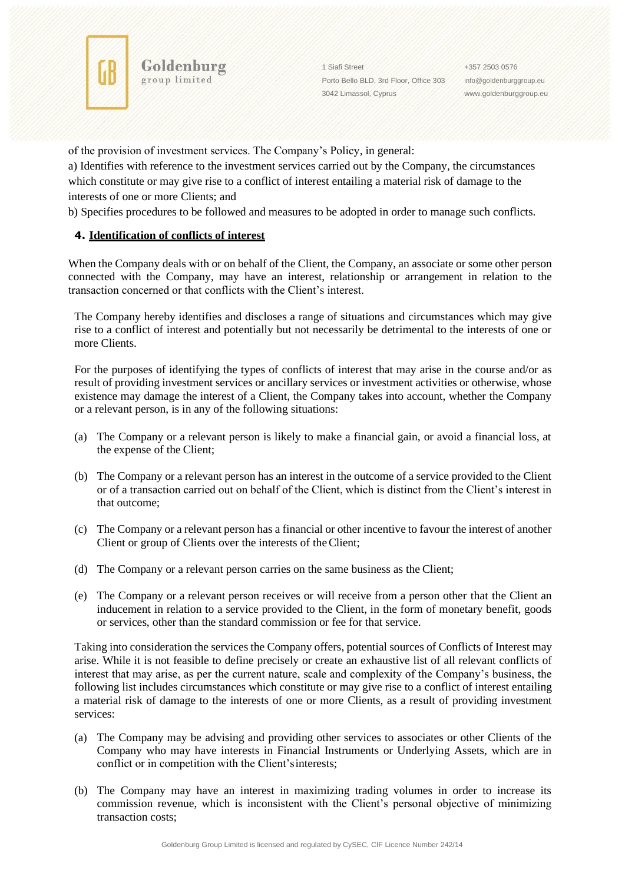

1 Siafi Street Porto Bello BLD, 3rd Floor, Office 303 3042 Limassol, Cyprus

+357 2503 0576 [info@goldenburggroup.eu](mailto:info@goldenburggroup.eu) [www.goldenburggroup.eu](http://www.goldenburggroup.eu/)

of the provision of investment services. The Company's Policy, in general:

a) Identifies with reference to the investment services carried out by the Company, the circumstances which constitute or may give rise to a conflict of interest entailing a material risk of damage to the interests of one or more Clients; and

b) Specifies procedures to be followed and measures to be adopted in order to manage such conflicts.

# **4. Identification of conflicts of interest**

Goldenburg group limited

When the Company deals with or on behalf of the Client, the Company, an associate or some other person connected with the Company, may have an interest, relationship or arrangement in relation to the transaction concerned or that conflicts with the Client's interest.

The Company hereby identifies and discloses a range of situations and circumstances which may give rise to a conflict of interest and potentially but not necessarily be detrimental to the interests of one or more Clients.

For the purposes of identifying the types of conflicts of interest that may arise in the course and/or as result of providing investment services or ancillary services or investment activities or otherwise, whose existence may damage the interest of a Client, the Company takes into account, whether the Company or a relevant person, is in any of the following situations:

- (a) The Company or a relevant person is likely to make a financial gain, or avoid a financial loss, at the expense of the Client;
- (b) The Company or a relevant person has an interest in the outcome of a service provided to the Client or of a transaction carried out on behalf of the Client, which is distinct from the Client's interest in that outcome;
- (c) The Company or a relevant person has a financial or other incentive to favour the interest of another Client or group of Clients over the interests of theClient;
- (d) The Company or a relevant person carries on the same business as the Client;
- (e) The Company or a relevant person receives or will receive from a person other that the Client an inducement in relation to a service provided to the Client, in the form of monetary benefit, goods or services, other than the standard commission or fee for that service.

Taking into consideration the services the Company offers, potential sources of Conflicts of Interest may arise. While it is not feasible to define precisely or create an exhaustive list of all relevant conflicts of interest that may arise, as per the current nature, scale and complexity of the Company's business, the following list includes circumstances which constitute or may give rise to a conflict of interest entailing a material risk of damage to the interests of one or more Clients, as a result of providing investment services:

- (a) The Company may be advising and providing other services to associates or other Clients of the Company who may have interests in Financial Instruments or Underlying Assets, which are in conflict or in competition with the Client'sinterests;
- (b) The Company may have an interest in maximizing trading volumes in order to increase its commission revenue, which is inconsistent with the Client's personal objective of minimizing transaction costs;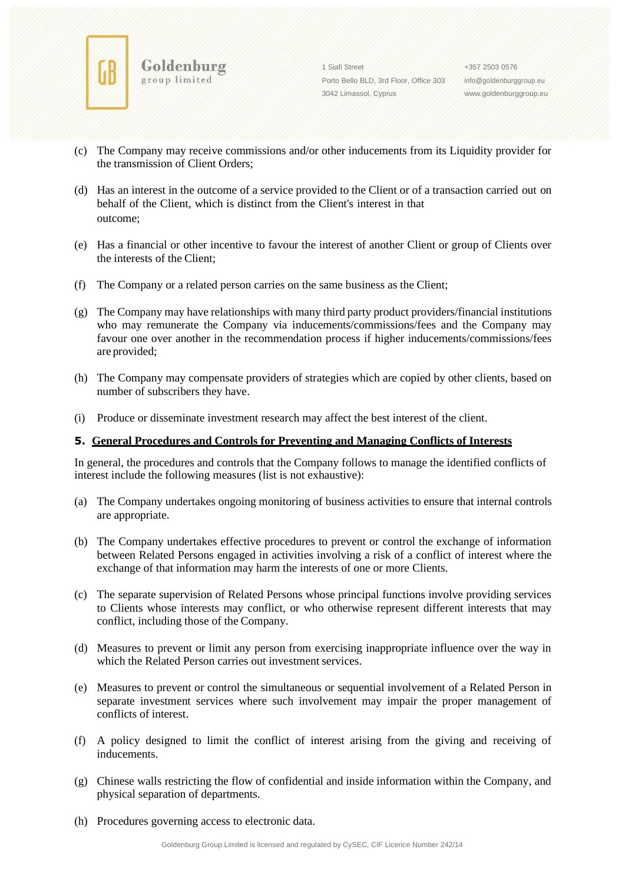

Goldenburg

group limited

1 Siafi Street Porto Bello BLD, 3rd Floor, Office 303 3042 Limassol, Cyprus

+357 2503 0576 [info@goldenburggroup.eu](mailto:info@goldenburggroup.eu) [www.goldenburggroup.eu](http://www.goldenburggroup.eu/)

- (c) The Company may receive commissions and/or other inducements from its Liquidity provider for the transmission of Client Orders;
- (d) Has an interest in the outcome of a service provided to the Client or of a transaction carried out on behalf of the Client, which is distinct from the Client's interest in that outcome;
- (e) Has a financial or other incentive to favour the interest of another Client or group of Clients over the interests of the Client;
- (f) The Company or a related person carries on the same business as the Client;
- (g) The Company may have relationships with many third party product providers/financial institutions who may remunerate the Company via inducements/commissions/fees and the Company may favour one over another in the recommendation process if higher inducements/commissions/fees are provided;
- (h) The Company may compensate providers of strategies which are copied by other clients, based on number of subscribers they have.
- (i) Produce or disseminate investment research may affect the best interest of the client.

### **5. General Procedures and Controls for Preventing and Managing Conflicts of Interests**

In general, the procedures and controls that the Company follows to manage the identified conflicts of interest include the following measures (list is not exhaustive):

- (a) The Company undertakes ongoing monitoring of business activities to ensure that internal controls are appropriate.
- (b) The Company undertakes effective procedures to prevent or control the exchange of information between Related Persons engaged in activities involving a risk of a conflict of interest where the exchange of that information may harm the interests of one or more Clients.
- (c) The separate supervision of Related Persons whose principal functions involve providing services to Clients whose interests may conflict, or who otherwise represent different interests that may conflict, including those of the Company.
- (d) Measures to prevent or limit any person from exercising inappropriate influence over the way in which the Related Person carries out investment services.
- (e) Measures to prevent or control the simultaneous or sequential involvement of a Related Person in separate investment services where such involvement may impair the proper management of conflicts of interest.
- (f) A policy designed to limit the conflict of interest arising from the giving and receiving of inducements.
- (g) Chinese walls restricting the flow of confidential and inside information within the Company, and physical separation of departments.
- (h) Procedures governing access to electronic data.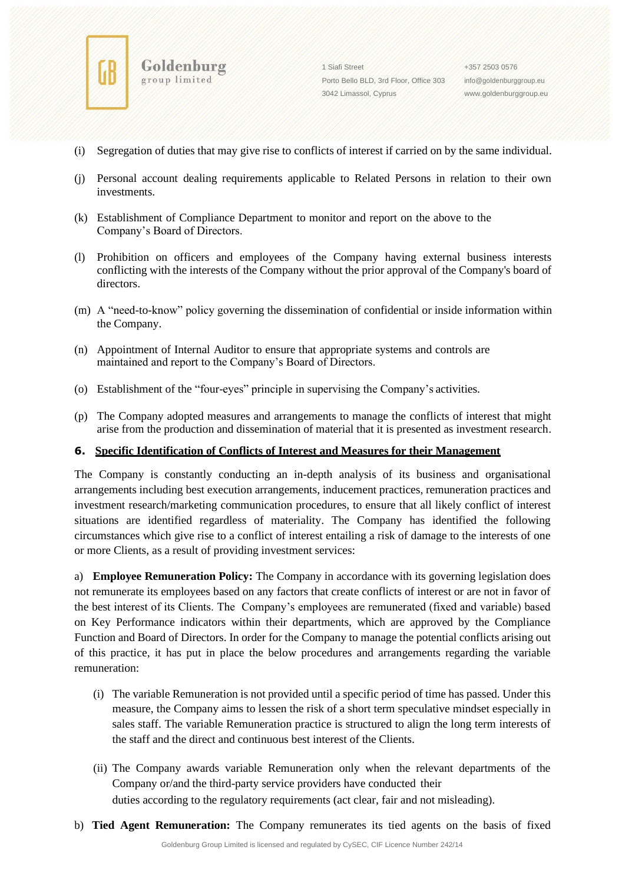

Goldenburg group limited

1 Siafi Street Porto Bello BLD, 3rd Floor, Office 303 3042 Limassol, Cyprus

+357 2503 0576 [info@goldenburggroup.eu](mailto:info@goldenburggroup.eu) [www.goldenburggroup.eu](http://www.goldenburggroup.eu/)

- (i) Segregation of duties that may give rise to conflicts of interest if carried on by the same individual.
- (j) Personal account dealing requirements applicable to Related Persons in relation to their own investments.
- (k) Establishment of Compliance Department to monitor and report on the above to the Company's Board of Directors.
- (l) Prohibition on officers and employees of the Company having external business interests conflicting with the interests of the Company without the prior approval of the Company's board of directors.
- (m) A "need-to-know" policy governing the dissemination of confidential or inside information within the Company.
- (n) Appointment of Internal Auditor to ensure that appropriate systems and controls are maintained and report to the Company's Board of Directors.
- (o) Establishment of the "four-eyes" principle in supervising the Company's activities.
- (p) The Company adopted measures and arrangements to manage the conflicts of interest that might arise from the production and dissemination of material that it is presented as investment research.

### **6. Specific Identification of Conflicts of Interest and Measures for their Management**

The Company is constantly conducting an in-depth analysis of its business and organisational arrangements including best execution arrangements, inducement practices, remuneration practices and investment research/marketing communication procedures, to ensure that all likely conflict of interest situations are identified regardless of materiality. The Company has identified the following circumstances which give rise to a conflict of interest entailing a risk of damage to the interests of one or more Clients, as a result of providing investment services:

a) **Employee Remuneration Policy:** The Company in accordance with its governing legislation does not remunerate its employees based on any factors that create conflicts of interest or are not in favor of the best interest of its Clients. The Company's employees are remunerated (fixed and variable) based on Key Performance indicators within their departments, which are approved by the Compliance Function and Board of Directors. In order for the Company to manage the potential conflicts arising out of this practice, it has put in place the below procedures and arrangements regarding the variable remuneration:

- (i) The variable Remuneration is not provided until a specific period of time has passed. Under this measure, the Company aims to lessen the risk of a short term speculative mindset especially in sales staff. The variable Remuneration practice is structured to align the long term interests of the staff and the direct and continuous best interest of the Clients.
- (ii) The Company awards variable Remuneration only when the relevant departments of the Company or/and the third-party service providers have conducted their duties according to the regulatory requirements (act clear, fair and not misleading).
- b) **Tied Agent Remuneration:** The Company remunerates its tied agents on the basis of fixed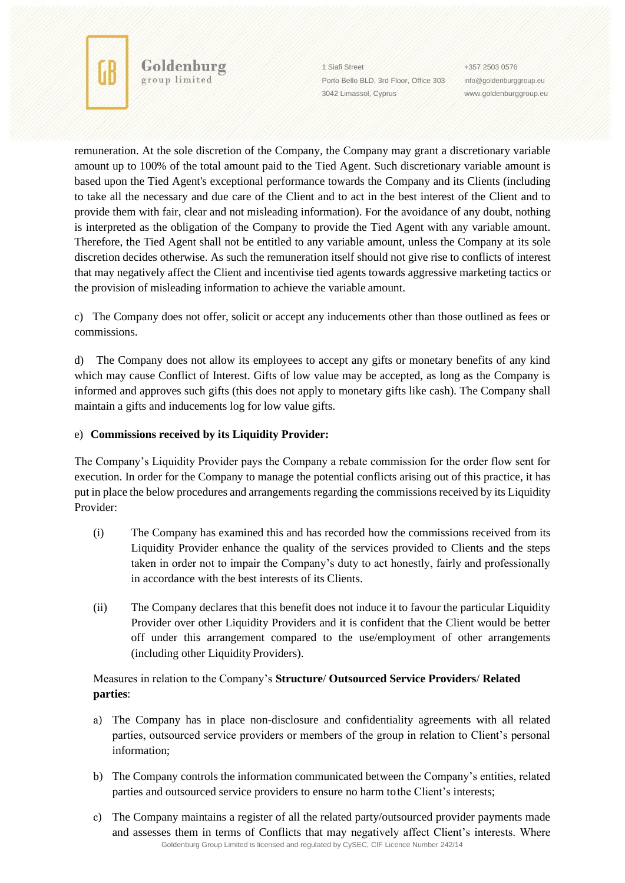

Goldenburg

1 Siafi Street Porto Bello BLD, 3rd Floor, Office 303 3042 Limassol, Cyprus

+357 2503 0576 [info@goldenburggroup.eu](mailto:info@goldenburggroup.eu) [www.goldenburggroup.eu](http://www.goldenburggroup.eu/)

remuneration. At the sole discretion of the Company, the Company may grant a discretionary variable amount up to 100% of the total amount paid to the Tied Agent. Such discretionary variable amount is based upon the Tied Agent's exceptional performance towards the Company and its Clients (including to take all the necessary and due care of the Client and to act in the best interest of the Client and to provide them with fair, clear and not misleading information). For the avoidance of any doubt, nothing is interpreted as the obligation of the Company to provide the Tied Agent with any variable amount. Therefore, the Tied Agent shall not be entitled to any variable amount, unless the Company at its sole discretion decides otherwise. As such the remuneration itself should not give rise to conflicts of interest that may negatively affect the Client and incentivise tied agents towards aggressive marketing tactics or the provision of misleading information to achieve the variable amount.

c) The Company does not offer, solicit or accept any inducements other than those outlined as fees or commissions.

d) The Company does not allow its employees to accept any gifts or monetary benefits of any kind which may cause Conflict of Interest. Gifts of low value may be accepted, as long as the Company is informed and approves such gifts (this does not apply to monetary gifts like cash). The Company shall maintain a gifts and inducements log for low value gifts.

# e) **Commissions received by its Liquidity Provider:**

The Company's Liquidity Provider pays the Company a rebate commission for the order flow sent for execution. In order for the Company to manage the potential conflicts arising out of this practice, it has put in place the below procedures and arrangements regarding the commissions received by its Liquidity Provider:

- (i) The Company has examined this and has recorded how the commissions received from its Liquidity Provider enhance the quality of the services provided to Clients and the steps taken in order not to impair the Company's duty to act honestly, fairly and professionally in accordance with the best interests of its Clients.
- (ii) The Company declares that this benefit does not induce it to favour the particular Liquidity Provider over other Liquidity Providers and it is confident that the Client would be better off under this arrangement compared to the use/employment of other arrangements (including other Liquidity Providers).

# Measures in relation to the Company's **Structure**/ **Outsourced Service Providers**/ **Related parties**:

- a) The Company has in place non-disclosure and confidentiality agreements with all related parties, outsourced service providers or members of the group in relation to Client's personal information;
- b) The Company controls the information communicated between the Company's entities, related parties and outsourced service providers to ensure no harm tothe Client's interests;
- Goldenburg Group Limited is licensed and regulated by CySEC, CIF Licence Number 242/14 c) The Company maintains a register of all the related party/outsourced provider payments made and assesses them in terms of Conflicts that may negatively affect Client's interests. Where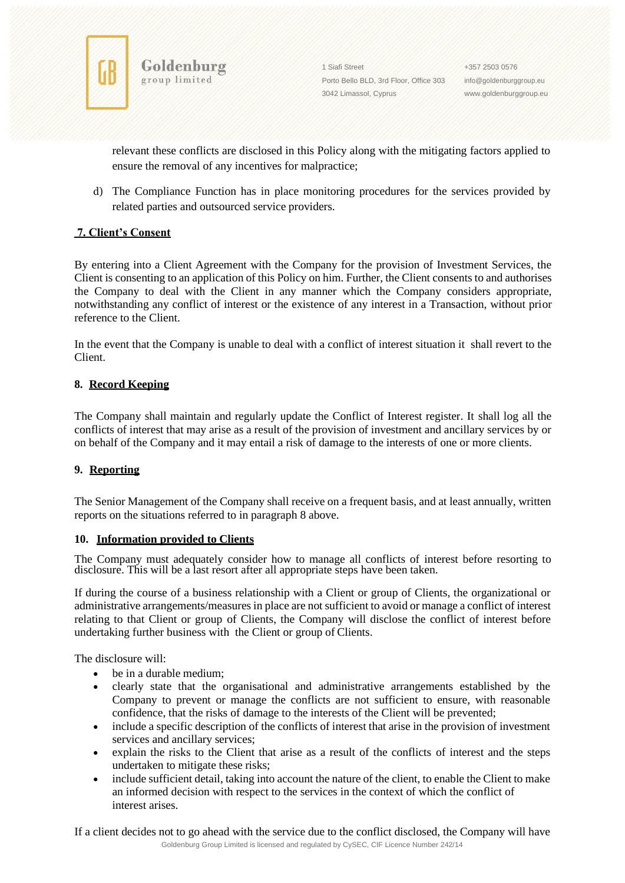

1 Siafi Street Porto Bello BLD, 3rd Floor, Office 303 3042 Limassol, Cyprus

+357 2503 0576 [info@goldenburggroup.eu](mailto:info@goldenburggroup.eu) [www.goldenburggroup.eu](http://www.goldenburggroup.eu/)

relevant these conflicts are disclosed in this Policy along with the mitigating factors applied to ensure the removal of any incentives for malpractice;

d) The Compliance Function has in place monitoring procedures for the services provided by related parties and outsourced service providers.

# **7. Client's Consent**

By entering into a Client Agreement with the Company for the provision of Investment Services, the Client is consenting to an application of this Policy on him. Further, the Client consents to and authorises the Company to deal with the Client in any manner which the Company considers appropriate, notwithstanding any conflict of interest or the existence of any interest in a Transaction, without prior reference to the Client.

In the event that the Company is unable to deal with a conflict of interest situation it shall revert to the Client.

### **8. Record Keeping**

The Company shall maintain and regularly update the Conflict of Interest register. It shall log all the conflicts of interest that may arise as a result of the provision of investment and ancillary services by or on behalf of the Company and it may entail a risk of damage to the interests of one or more clients.

# **9. Reporting**

The Senior Management of the Company shall receive on a frequent basis, and at least annually, written reports on the situations referred to in paragraph 8 above.

### **10. Information provided to Clients**

The Company must adequately consider how to manage all conflicts of interest before resorting to disclosure. This will be a last resort after all appropriate steps have been taken.

If during the course of a business relationship with a Client or group of Clients, the organizational or administrative arrangements/measures in place are not sufficient to avoid or manage a conflict of interest relating to that Client or group of Clients, the Company will disclose the conflict of interest before undertaking further business with the Client or group of Clients.

The disclosure will:

- be in a durable medium:
- clearly state that the organisational and administrative arrangements established by the Company to prevent or manage the conflicts are not sufficient to ensure, with reasonable confidence, that the risks of damage to the interests of the Client will be prevented;
- include a specific description of the conflicts of interest that arise in the provision of investment services and ancillary services;
- explain the risks to the Client that arise as a result of the conflicts of interest and the steps undertaken to mitigate these risks;
- include sufficient detail, taking into account the nature of the client, to enable the Client to make an informed decision with respect to the services in the context of which the conflict of interest arises.

Goldenburg Group Limited is licensed and regulated by CySEC, CIF Licence Number 242/14 If a client decides not to go ahead with the service due to the conflict disclosed, the Company will have